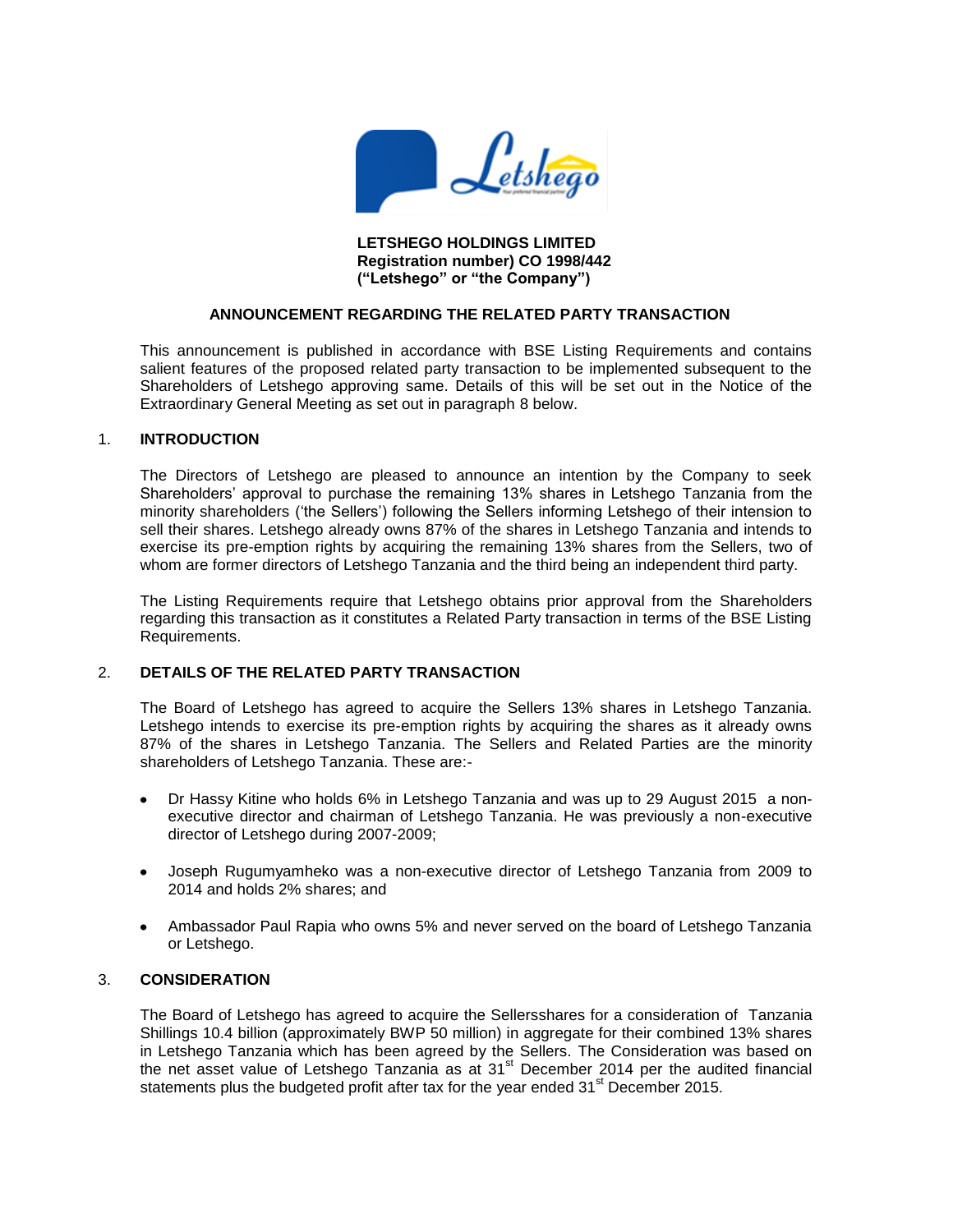

**LETSHEGO HOLDINGS LIMITED Registration number) CO 1998/442 ("Letshego" or "the Company")**

## **ANNOUNCEMENT REGARDING THE RELATED PARTY TRANSACTION**

This announcement is published in accordance with BSE Listing Requirements and contains salient features of the proposed related party transaction to be implemented subsequent to the Shareholders of Letshego approving same. Details of this will be set out in the Notice of the Extraordinary General Meeting as set out in paragraph 8 below.

### 1. **INTRODUCTION**

The Directors of Letshego are pleased to announce an intention by the Company to seek Shareholders' approval to purchase the remaining 13% shares in Letshego Tanzania from the minority shareholders ('the Sellers') following the Sellers informing Letshego of their intension to sell their shares. Letshego already owns 87% of the shares in Letshego Tanzania and intends to exercise its pre-emption rights by acquiring the remaining 13% shares from the Sellers, two of whom are former directors of Letshego Tanzania and the third being an independent third party.

The Listing Requirements require that Letshego obtains prior approval from the Shareholders regarding this transaction as it constitutes a Related Party transaction in terms of the BSE Listing Requirements.

## 2. **DETAILS OF THE RELATED PARTY TRANSACTION**

The Board of Letshego has agreed to acquire the Sellers 13% shares in Letshego Tanzania. Letshego intends to exercise its pre-emption rights by acquiring the shares as it already owns 87% of the shares in Letshego Tanzania. The Sellers and Related Parties are the minority shareholders of Letshego Tanzania. These are:-

- Dr Hassy Kitine who holds 6% in Letshego Tanzania and was up to 29 August 2015 a nonexecutive director and chairman of Letshego Tanzania. He was previously a non-executive director of Letshego during 2007-2009;
- Joseph Rugumyamheko was a non-executive director of Letshego Tanzania from 2009 to 2014 and holds 2% shares; and
- Ambassador Paul Rapia who owns 5% and never served on the board of Letshego Tanzania or Letshego.

## 3. **CONSIDERATION**

The Board of Letshego has agreed to acquire the Sellersshares for a consideration of Tanzania Shillings 10.4 billion (approximately BWP 50 million) in aggregate for their combined 13% shares in Letshego Tanzania which has been agreed by the Sellers. The Consideration was based on the net asset value of Letshego Tanzania as at 31<sup>st</sup> December 2014 per the audited financial statements plus the budgeted profit after tax for the year ended  $31<sup>st</sup>$  December 2015.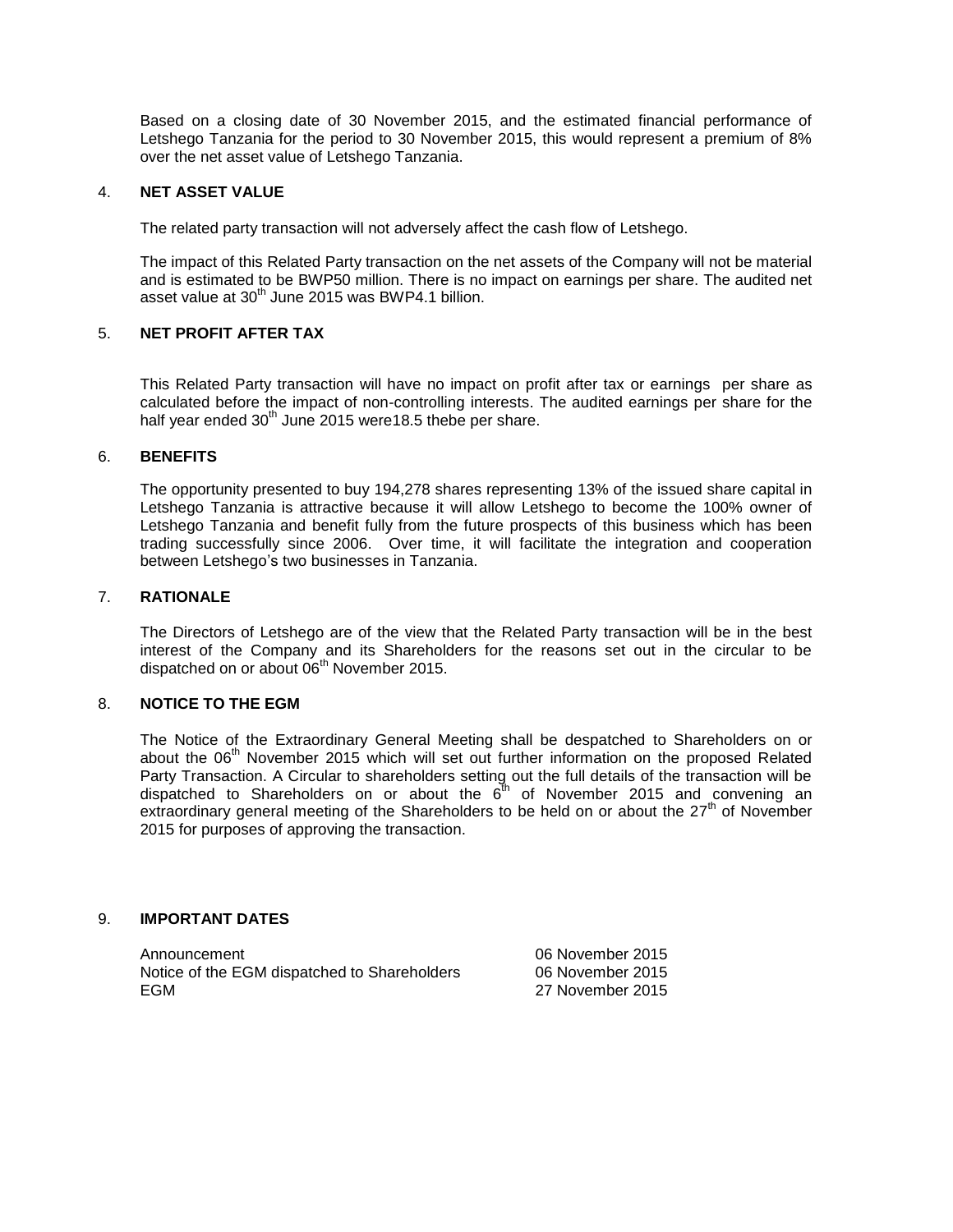Based on a closing date of 30 November 2015, and the estimated financial performance of Letshego Tanzania for the period to 30 November 2015, this would represent a premium of 8% over the net asset value of Letshego Tanzania.

## 4. **NET ASSET VALUE**

The related party transaction will not adversely affect the cash flow of Letshego.

The impact of this Related Party transaction on the net assets of the Company will not be material and is estimated to be BWP50 million. There is no impact on earnings per share. The audited net asset value at  $30<sup>th</sup>$  June 2015 was BWP4.1 billion.

# 5. **NET PROFIT AFTER TAX**

This Related Party transaction will have no impact on profit after tax or earnings per share as calculated before the impact of non-controlling interests. The audited earnings per share for the half year ended  $30<sup>th</sup>$  June 2015 were 18.5 thebe per share.

### 6. **BENEFITS**

The opportunity presented to buy 194,278 shares representing 13% of the issued share capital in Letshego Tanzania is attractive because it will allow Letshego to become the 100% owner of Letshego Tanzania and benefit fully from the future prospects of this business which has been trading successfully since 2006. Over time, it will facilitate the integration and cooperation between Letshego's two businesses in Tanzania.

### 7. **RATIONALE**

The Directors of Letshego are of the view that the Related Party transaction will be in the best interest of the Company and its Shareholders for the reasons set out in the circular to be dispatched on or about 06<sup>th</sup> November 2015.

## 8. **NOTICE TO THE EGM**

The Notice of the Extraordinary General Meeting shall be despatched to Shareholders on or about the  $06<sup>th</sup>$  November 2015 which will set out further information on the proposed Related Party Transaction. A Circular to shareholders setting out the full details of the transaction will be dispatched to Shareholders on or about the  $6<sup>th</sup>$  of November 2015 and convening an extraordinary general meeting of the Shareholders to be held on or about the  $27<sup>th</sup>$  of November 2015 for purposes of approving the transaction.

## 9. **IMPORTANT DATES**

Announcement 06 November 2015 Notice of the EGM dispatched to Shareholders 06 November 2015 EGM 27 November 2015